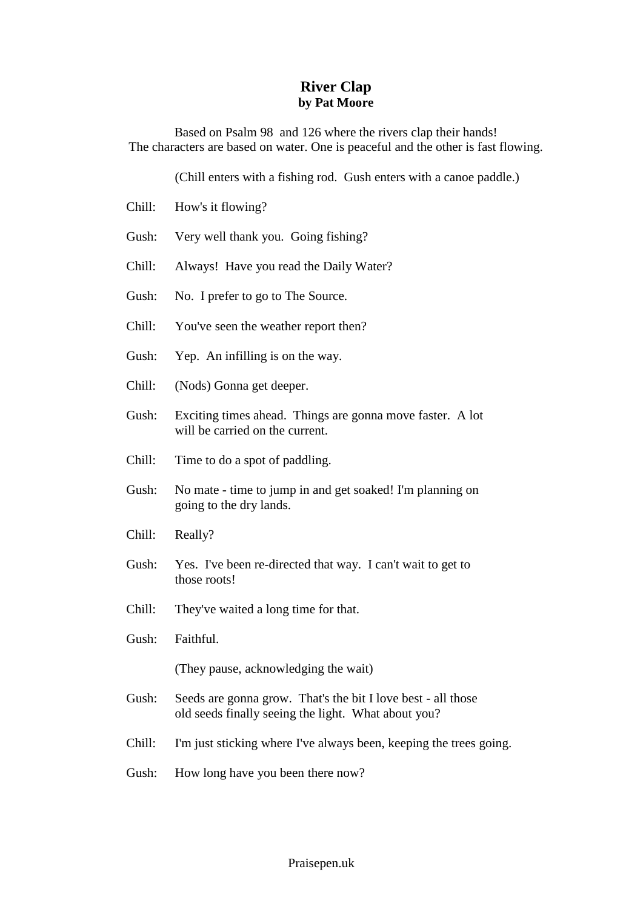## **River Clap by Pat Moore**

Based on Psalm 98 and 126 where the rivers clap their hands! The characters are based on water. One is peaceful and the other is fast flowing.

(Chill enters with a fishing rod. Gush enters with a canoe paddle.)

- Chill: How's it flowing?
- Gush: Very well thank you. Going fishing?
- Chill: Always! Have you read the Daily Water?
- Gush: No. I prefer to go to The Source.
- Chill: You've seen the weather report then?
- Gush: Yep. An infilling is on the way.
- Chill: (Nods) Gonna get deeper.
- Gush: Exciting times ahead. Things are gonna move faster. A lot will be carried on the current.
- Chill: Time to do a spot of paddling.
- Gush: No mate time to jump in and get soaked! I'm planning on going to the dry lands.
- Chill: Really?
- Gush: Yes. I've been re-directed that way. I can't wait to get to those roots!
- Chill: They've waited a long time for that.
- Gush: Faithful.

(They pause, acknowledging the wait)

- Gush: Seeds are gonna grow. That's the bit I love best all those old seeds finally seeing the light. What about you?
- Chill: I'm just sticking where I've always been, keeping the trees going.
- Gush: How long have you been there now?

## Praisepen.uk